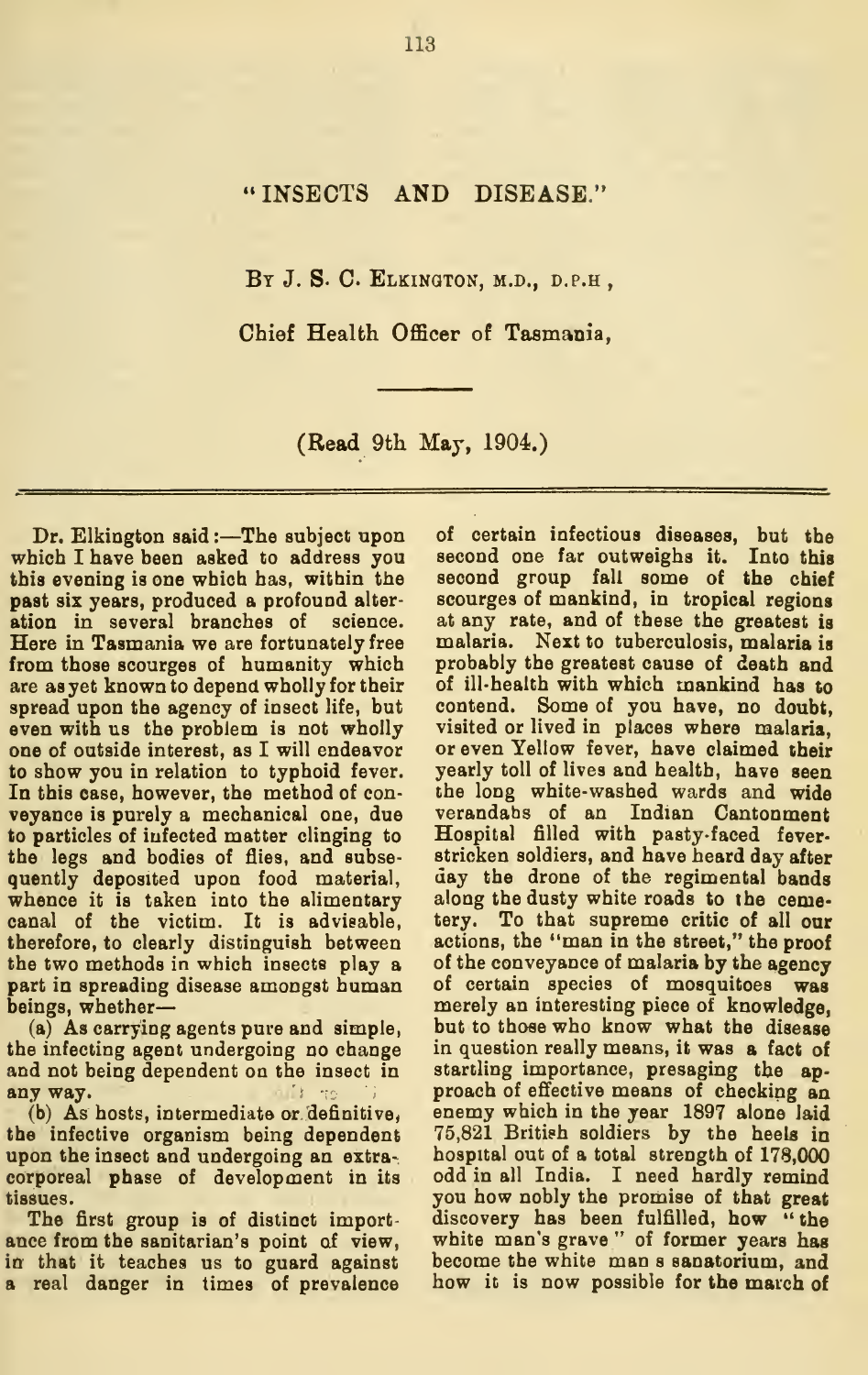## "INSECTS AND DISEASE."

BY J. S. C. ELKINGTON, M.D., D.P.H ,

Chief Health Officer of Tasmania,

(Read 9th May, 1904.)

Dr. Elkington said :- The subject upon which I have been asked to address you this evening is one which has, witbin the past six years, produced a profound alter ation in several branches of science. Here in Tasmania we are fortunately free from those scourges of humanity which are as yet known to depend wholly for their spread upon the agency of insect life, but even with us the problem is not wholly one of outside interest, as I will endeavor to show you in relation to typhoid fever. In this case, however, the method of con veyance is purely a mechanical one, due to particles of infected matter clinging to the legs and bodies of flies, and subse quently deposited upon food material, whence it is taken into the alimentary canal of the victim. It is advisable, therefore, to clearly distinguish between the two methods in which insects play a part in spreading disease amongst human beings, whether

(a) As carrying agents pure and simple, the infecting agent undergoing no change and not being dependent on the insect in any way. it so

the infective organism being dependent upon the insect and undergoing an extra corporeal phase of development in its tissues.

The first group is of distinct importance from the sanitarian's point of view, in that it teaches us to guard against a real danger in times of prevalence

(b) As hosts, intermediate or definitive, enemy which in the year 1897 alone laid of certain infectious diseases, but the second one far outweighs it. Into this second group fall some of the chief scourges of mankind, in tropical regions at any rate, and of these the greatest is malaria. Next to tuberculosis, malaria is probably the greatest cause of death and of ill-health with which mankind has to contend. Some of you have, no doubt, visited or lived in places where malaria, or even Yellow fever, have claimed iheir yearly toll of lives and health, have seen the long white-washed wards and wide verandahs of an Indian Cantonment Hospital filled with pasty-faced fever stricken soldiers, and have heard day after day the drone of the regimental bands along the dusty white roads to the cemetery. To that supreme critic of all our actions, the "man in the street," the proof of the conveyance of malaria by the agency of certain species of mosquitoes was merely an interesting piece of knowledge, but to those who know what the disease in question really means, it was a fact of startling importance, presaging the ap proach of effective means of checking an 75,821 British soldiers by the heels in hospital out of a total strength of 178,000 odd in all India. I need hardly remind you how nobly the promise of that great discovery has been fulfilled, how " the white man's grave " of former years has become the white man <sup>s</sup> sanatorium, and how it is now possible for the march of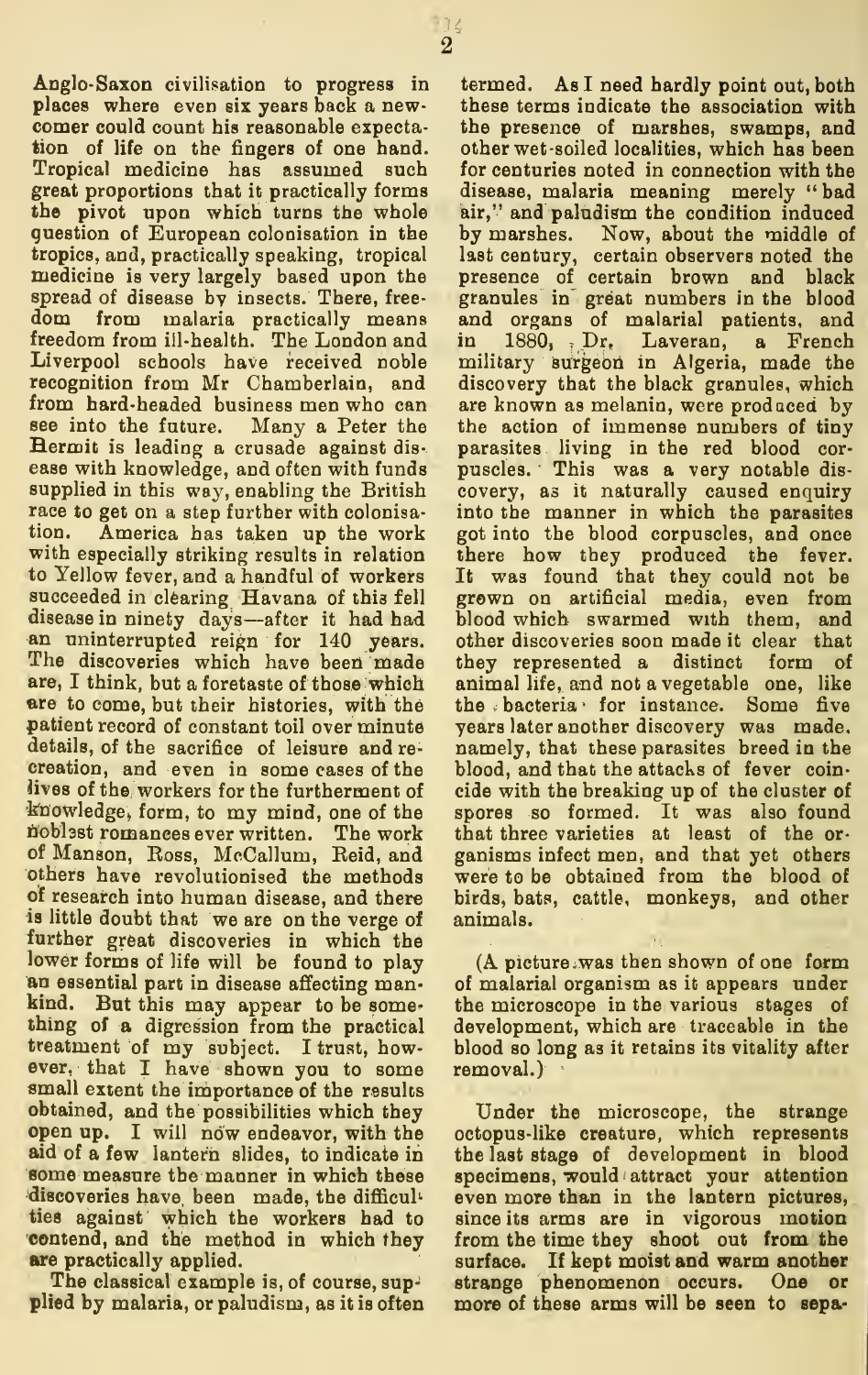Anglo-Saxon civilisation to progress in places where even six years back a new comer could count his reasonable expectation of life on the fingers of one hand. Tropical medicine has assumed such great proportions that it practically forms the pivot upon which turns the whole guestion of European colooisation in the tropics, and, practically speaking, tropical medicine is very largely based upon the spread of disease by insects. There, free from malaria practically means freedom from ill-health. The London and Liverpool schools have received noble recognition from Mr Chamberlain, and from hard-headed business men who can see into the future. Many a Peter the Hermit isleading a crusade against dis ease with knowledge, and often with funds supplied in this way, enabling the British race to get on a step further with colonisation. America has taken up the work with especially striking results in relation to Yellow fever, and a handful of workers succeeded in clearing Havana of this fell disease in ninety days—after it had had an uninterrupted reign for <sup>140</sup> years. The discoveries which have been made are, I think, but a foretaste of those which are to come, but their histories, with the patient record of constant toil over minute details, of the sacrifice of leisure and re creation, and even in some cases of the iives of the workers for the furtherment of knowledge, form, to my mind, one of the noblest romances ever written. The work that of Manson, Eoss, McCallum, Reid, and others have revolutionised the methods of research into human disease, and there is little doubt that we are on the verge of further great discoveries in which the lower forms of life will be found to play an essential part in disease affecting mankind. But this may appear to be something of a digression from the practical treatment of my subject. <sup>I</sup> trust, however, that I have shown you to some small extent the importance of the results obtained, and the possibilities which they open up. I will now endeavor, with the aid of a few lantern slides, to indicate in some measure the manner in which these discoveries have been made, the difficul ties against which the workers had to contend, and the method in which they are practically applied.

The classical example is, of course, supplied by malaria, or paludism, as it is often

termed. As I need hardly point out, both these terms indicate the association with the presence of marshes, swamps, and other wet-soiled localities, which has been for centuries noted in connection with the disease, malaria meaning merely "bad air," and paludism the condition induced by marshes. Now, about the middle of last century, certain observers noted the presence of certain brown and black granules in great numbers in the blood and organs of malarial patients, and in 1880, . Dr, Laveran, a French military surgeon in Algeria, made the discovery that the black granules, which are known as melanin, were produced by the action of immense numbers of tiny parasites living in the red blood cor- puscles. This was a very notable dis covery, as it naturally caused enquiry into the manner in which the parasites got into the blood corpuscles, and once there how they produced the fever. It was found that they could not be grown on artificial media, even from blood which swarmed with them, and other discoveries soon made it clear that they represented a distinct form of animal life, and not a vegetable one, like the bacteria for instance. Some five years later another discovery was made, namely, that these parasites breed in the blood, and that the attacks of fever coin cide with the breaking up of the cluster of spores so formed. It was also found that three varieties at least of the or ganisms infect men, and that yet others were to be obtained from the blood of birds, bats, cattle, monkeys, and other animals.

(A picture .was then shown of one form of malarial organism as it appears under the microscope in the various stages of development, which are traceable in the blood so long as it retains its vitality after removal.)

Under the microscope, the strange octopus-like creature, which represents the last stage of development in blood specimens, would attract your attention even more than in the lantern pictures, since its arms are in vigorous motion from the time they shoot out from the surface. If kept moist and warm another strange phenomenon occurs. One or more of these arms will be seen to sepa-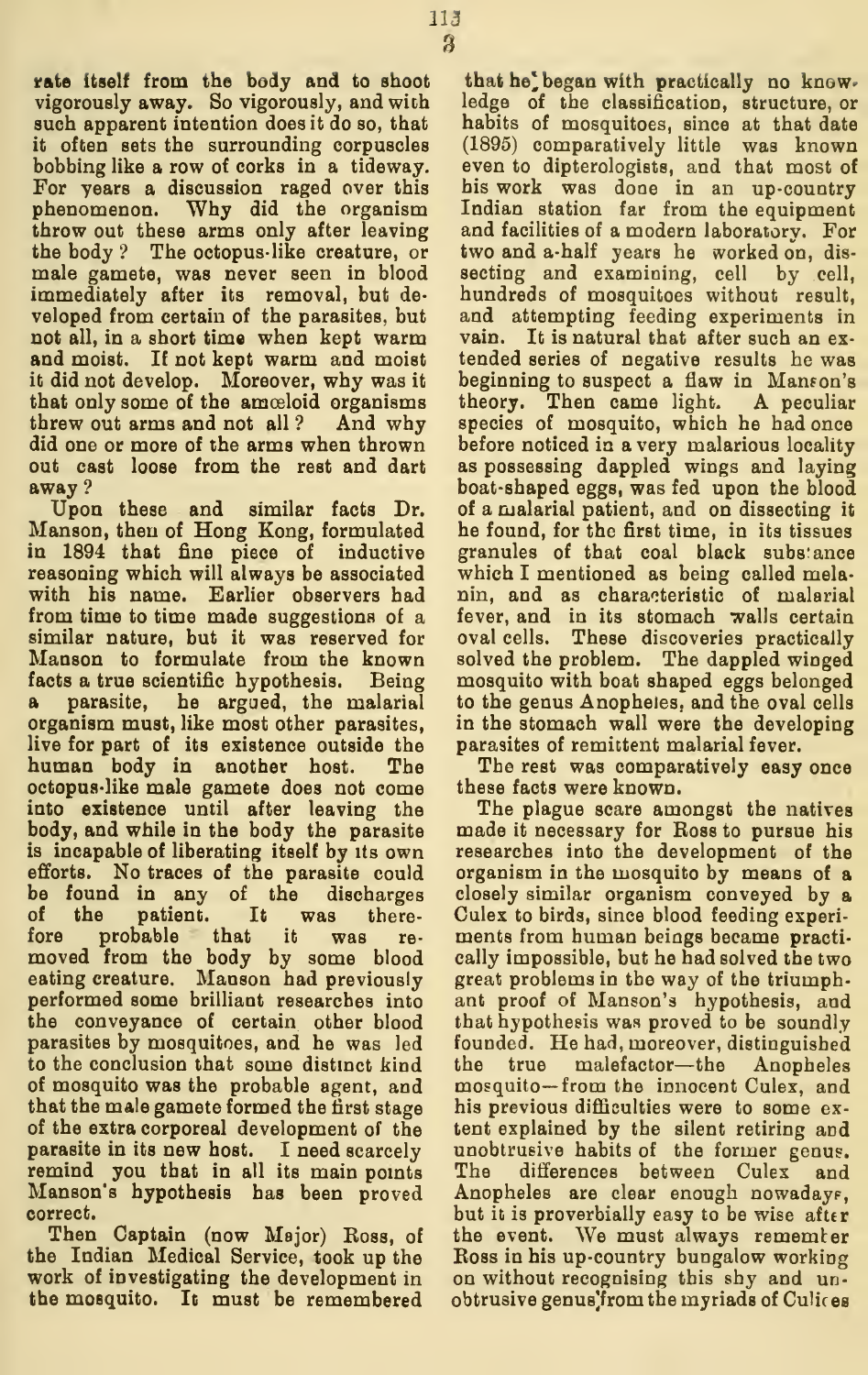rate itself from the body and to shoot vigorously away. So vigorously, and with such apparent intention does it do so, that it often sets the surrounding corpuscles bobbing like a row of corks in a tideway. For years a discussion raged over this phenomenon. Why did the organism throw out these arms only after leaving the body ? The octopus- like creature, or male gamete, was never seen in blood immediately after its removal, but de veloped from certain of the parasites, but not all, in a short time when kept warm and moist. If not kept warm and moist it did not develop. Moreover, why was it that only some of the amoeloid organisms threw out arms and not all ? And why did one or more of the arms when thrown out cast loose from the rest and dart away?

Upon these and similar facts Dr. Manson, then of Hong Kong, formulated in 1894 that fine piece of inductive reasoning which will always be associated with his name. Earlier observers had from time to time made suggestions of a similar nature, but it was reserved for Manson to formulate from the known facts a true scientific hypothesis. Being a parasite, he argued, the malarial organism must, like most other parasites, live for part of its existence outside the human body in another host. The octopus-like male gamete does not come into existence until after leaving the body, and while in the body the parasite is incapable of liberating itself by its own efforts. No traces of the parasite could be found in any of the discharges of the patient. It was there-<br>fore probable that it was refore probable that it was re moved from the body by some blood eating creature. Manson had previously performed some brilliant researches into the conveyance of certain other blood parasites by mosquitoes, and he was led to the conclusion that some distmct kind of mosquito was the probable agent, and that the male gamete formed the first stage of the extra corporeal development of the parasite in its new host. <sup>I</sup> need scarcely remind you that in all its main points The Manson's hypothesis has been proved correct.

Then Captain (now Major) Ross, of the Indian Medical Service, took up the work of investigating the development in the mosquito. It must be remembered

that he' began with practically no knowledge of the classification, structure, or habits of mosquitoes, since at that date (1895) comparatively little was known even to dipterologists, and that most of his work was done in an up-country Indian station far from the equipment and facilities of a modern laboratory. For two and a-half years he worked on, dis secting and examining, cell by cell, hundreds of mosquitoes without result, and attempting feeding experiments in vain. It is natural that after such an ex tended series of negative results he was beginning to suspect a flaw in Manson's theory. Then came light. A peculiar species of mosquito, which he had once before noticed in a very malarious locality as possessing dappled wings and laying boat-shaped eggs, was fed upon the blood of a malarial patient, and on dissecting it he found, for the first time, in its tissues granules of that coal black substance which I mentioned as being called melanin, and as characteristic of malarial fever, and in its stomach walls certain oval cells. These discoveries practically solved the problem. The dappled winged mosquito with boat shaped eggs belonged to the genus Anopheles, and the oval cells in the stomach wall were the developing parasites of remittent malarial fever.

The rest was comparatively easy once these facts were known.

The plague scare amongst the natives made it necessary for Ross to pursue his researches into the development of the organism in the mosquito by means of a closely similar organism conveyed by a Culex to birds, since blood feeding experi ments from human beings became practically impossible, but he had solved the two great problems in the way of the triumphant proof of Manson's hypothesis, and that hypothesis was proved to be soundly founded. He had, moreover, distinguished the true malefactor—the Anopheles mosquito— from the innocent Culex, and his previous difficulties were to some ex tent explained by the silent retiring and unobtrusive habits of the former genus. differences between Culex and Anopheles are clear enough nowaday?, but it is proverbially easy to be wise after the event. We must always rememter Ross in his up-country bungalow working on without recognising this shy and unobtrusive genus' from the myriads of Culices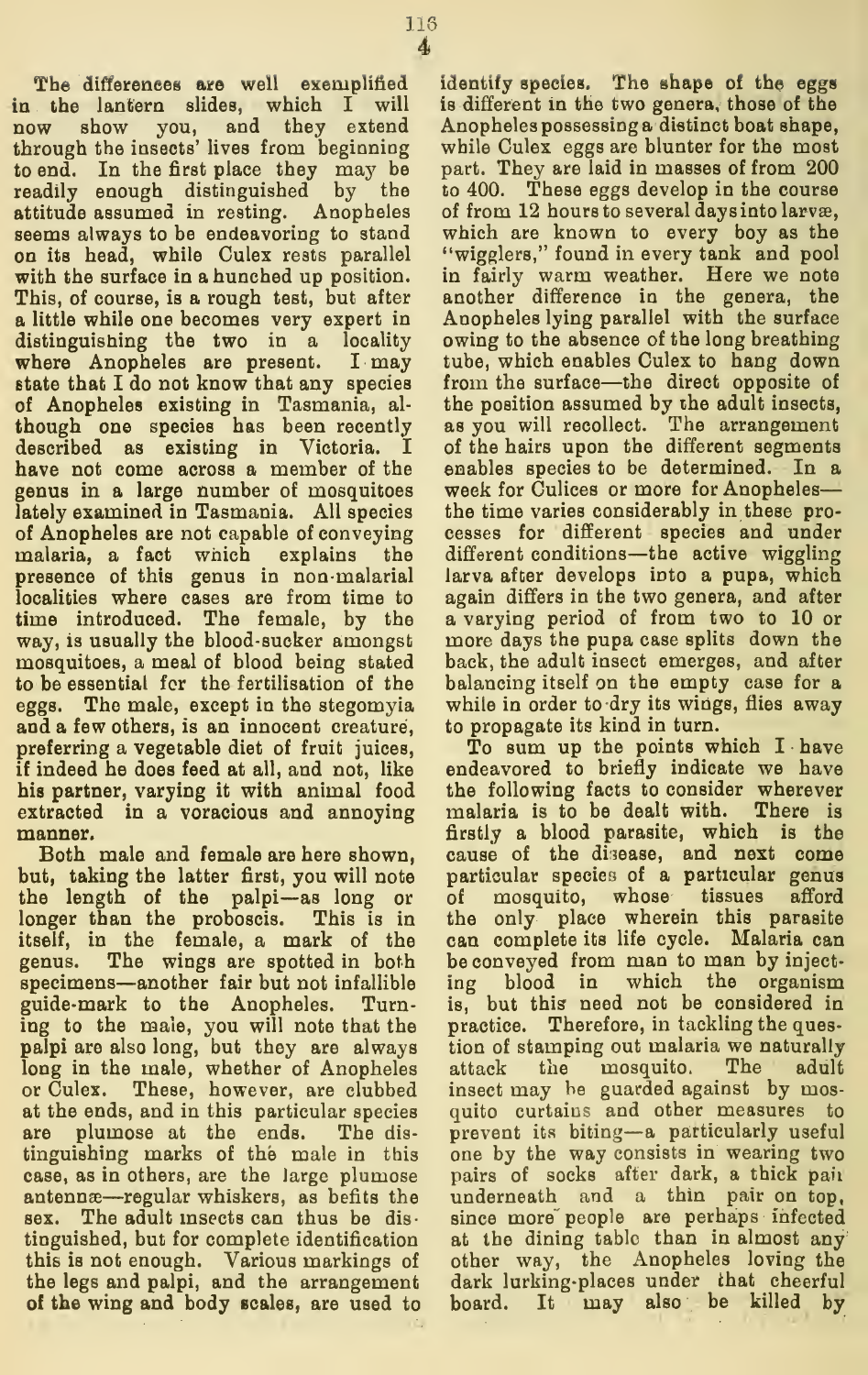116

in the lantern Blides, which I will now show you, and they extend through the insects' lives from beginning to end. In the first place they may be part readily enough distinguished by the attitude assumed in resting. Anopheles seems always to be endeavoring to stand on its head, while Culex rests parallel with the surface in a hunched up position. This, of course, is a rough test, but after a little while one becomes very expert in distinguishing the two in a locality where Anopheles are present. <sup>I</sup> may state that I do not know that any species of Anopheles existing in Tasmania, al though one species has been recently described as existing in Victoria. I have not come across a member of the genus in a large number of mosquitoes lately examined in Tasmania. All species of Anopheles are not capable of conveying malaria, a fact which explains the presence of this genus in non-malarial localities where cases are from time to time introduced. The female, by the way, is usually the blood-sucker amongst mosquitoes, a meal of blood being stated to be essential for the fertilisation of the eggs. The male, except in the stegomyia and a few others, is an innocent creature, preferring a vegetable diet of fruit juices, if indeed he does feed at all, and not, like his partner, varying it with animal food extracted in a voracious and annoying manner.

Both male and female are here shown, but, taking the latter first, you will note the length of the palpi—as long or longer than the proboscis. This is in itself, in the female, a mark of the genus. The wings are spotted in both specimens—another fair but not infallible guide-mark to the Anopheles. Turning to the male, you will note that the palpi are also long, but they are always long in the male, whether of Anopheles attack or Culex. These, however, are clubbed at the ends, and in this particular species are plumose at the ends. The dis tinguishing marks of the male in this case, as in others, are the large plumose antennæ—regular whiskers, as befits the sex. The adult insects can thus be dis-The adult insects can thus be distinguished, but for complete identification this is not enough. Various markings of the legs and palpi, and the arrangement of the wing and body Bcales, are used to

identify species. The shape of the eggs is different in the two genera, those of the Anopheles possessing a distinct boat shape, while Culex eggs are blunter for the most part. They are laid in masses of from 200 to 400. These eggs develop in the course of from 12 hours to several days into larvæ, which are known to every boy as the "wigglers," found in every tank and pool in fairly warm weather. Here we note another difference in the genera, the Anopheles lying parallel with the surface owing to the absence of the long breathing tube, which enables Culex to hang down from the surface—the direct opposite of the position assumed by ihe adult insects, as you will recollect. The arrangement of the hairs upon the different segments enables species to be determined. In a week for Culices or more for Anopheles the time varies considerably in these processes for different species and under different conditions—the active wiggling larva after develops into a pupa, which again differs in the two genera, and after a varying period of from two to 10 or more days the pupa case splits down the back, the adult insect emerges, and after balancing itself on the empty case for a while in order to dry its wings, flies away to propagate its kind in turn.

To sum up the points which I have endeavored to briefly indicate we have the following facts to consider wherever malaria is to be dealt with. There is firstly a blood parasite, which is the cause of the disease, and next come particular species of a particular genus of mosquito, whose tissues afford the only place wherein this parasite can complete its life cycle. Malaria can be conveyed from man to man by inject blood in which the organism is, but this need not be considered in practice. Therefore, in tackling the question of stamping out malaria we naturally the mosquito. The adult insect may he guarded against by mosquito curtains and other measures to prevent its biting—<sup>a</sup> particularly useful one by the way consists in wearing two pairs of socks after dark, a thick pair underneath and a thin pair on top, since more people are perhaps infected at the dining tabic than in almost any other way, the Anopheles loving the dark lurking-places under ihat cheerful board. It may also be killed by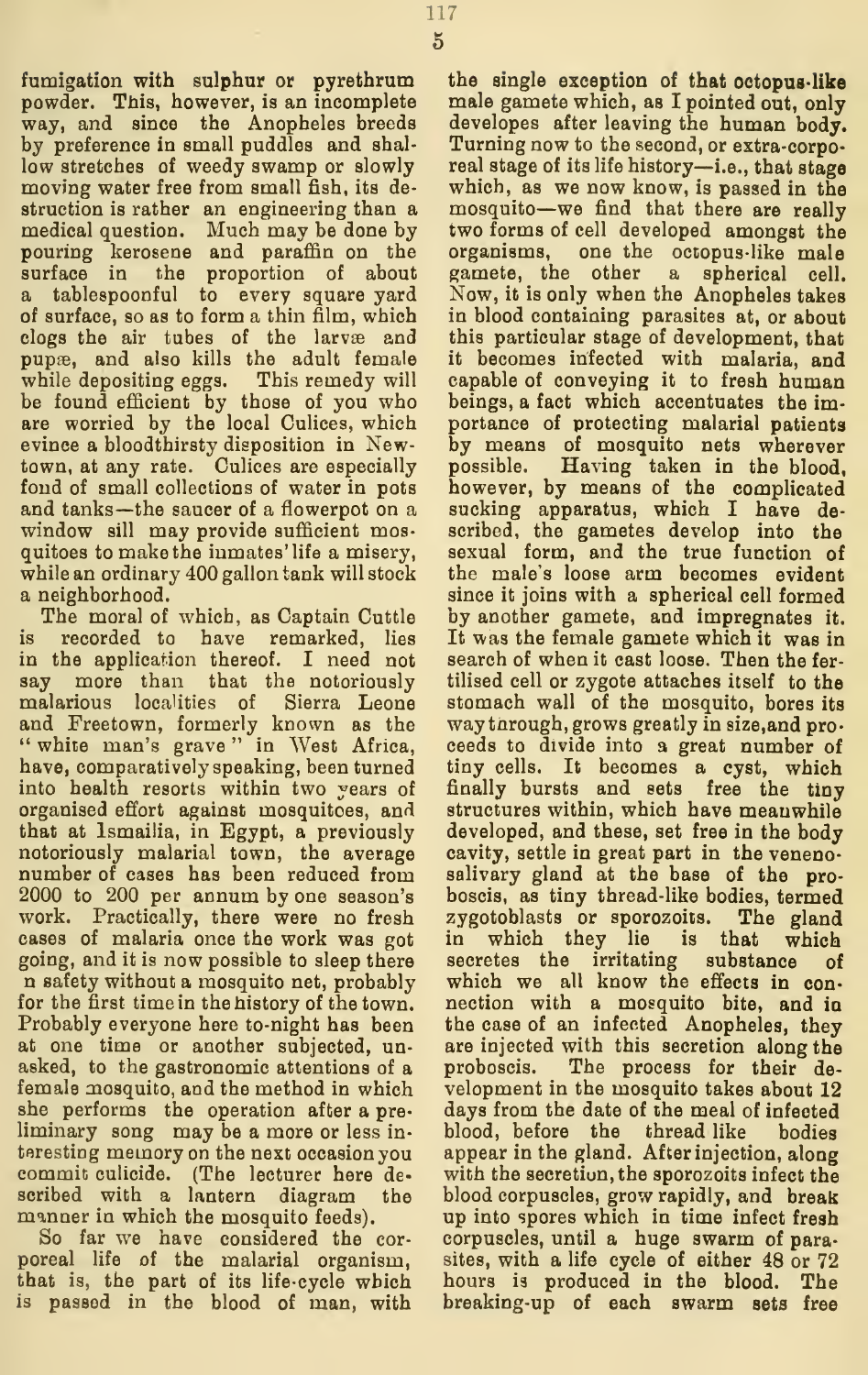fumigation with sulphur or pyrethrum powder. This, however, is an incomplete way, and since the Anopheles breeds by preference in small puddles and shal low stretches of weedy swamp or slowly moving water free from small fish, its de struction is rather an engineering than a medical question. Much may be done by two forms of cell developed amongst the pouring kerosene and paraffin on the surface in the proportion of about a tablespoonful to every square yard of surface, so as to form a thin film, which clogs the air tubes of the larvæ and pupae, and also kills the adult female while depositing eggs. This remedy will be found efficient by those of you who are worried by the local Culices, which evince a bloodthirsty disposition in Newtown, at any rate. Culices are especially possible. fond of small collections of water in pots and tanks—the saucer of a flowerpot on a window sill may provide sufficient mosquitoes to make the inmates' life a misery, while an ordinary 400 gallon tank will stock a neighborhood.

The moral of which, as Captain Cuttle is recorded to have remarked, lies in the application thereof. I need not say more than that the notoriously malarious localities of Sierra Leone and Freetown, formerly known as the " white man's grave" in West Africa, ce have, comparatively speaking, been turned into health resorts within two years of organised effort against mosquitoes, and that at Ismailia, in Egypt, a previously notoriously malarial town, the average number of cases has been reduced from 2000 to 200 per annum by one season's work. Practically, there were no fresh cases of malaria once the work was got going, and it is now possible to sleep there n safety without a mosquito net, probably for the first time in the history of the town. Probably everyone here to-night has been at one time or another subjected, unasked, to the gastronomic attentions of a female mosquito, and the method in which she performs the operation after a pre liminary song may be a more or less in teresting memory on the next occasion you commit culicide. (The lecturer here de scribed with a lantern diagram the manner in which the mosquito feeds).

So far we have considered the cor poreal life of the malarial organism, that is, the part of its life-cycle which is passed in the blood of man, with

the single exception of that octopus-like male gamete which, as I pointed out, only developes after leaving the human body. Turning now to the second, or extra-corporeal stage of its life history—i.e., that stage which, as we now know, is passed in the mosquito—we find that there are really organisms, one the octopus-like male gamete, the other a spherical cell. Now, it is only when the Anopheles takes in blood containing parasites at, or about this particular stage of development, that it becomes infected with malaria, and capable of conveying it to fresh human beings, a fact which accentuates the importance of protecting malarial patients by means of mosquito nets wherever Having taken in the blood, however, by means of the complicated sucking apparatus, which I have described, the gametes develop into the sexual form, and the true function of the male's loose arm becomes evident since it joins with a spherical cell formed by another gamete, and impregnates it. It was the female gamete which it was in search of when it cast loose. Then the fer tilised cell or zygote attaches itself to the stomach wall of the mosquito, bores its way through, grows greatly in size, and pro ceeds to divide into a great number of tiny cells. It becomes a cyst, which finally bursts and sets free the tiny structures within, which have meanwhile developed, and these, set free in the body cavity, settle in great part in the venenosalivary gland at the base of the proboscis, as tiny thread-like bodies, termed zygotoblasts or sporozoits. The gland<br>in which they lie is that which is that which secretes the irritating substance of which we all know the effects in con nection with a mosquito bite, and ia the case of an infected Anopheles, they are injected with this secretion along the proboscis. The process for their de velopment in the mosquito takes about 12 days from the date of the meal of infected blood, before the thread like bodies appear in the gland. After injection, along with the secretion, the sporozoits infect the blood corpuscles, grow rapidly, and break up into spores which in time infect fresh corpuscles, until a huge swarm of parasites, with a life cycle of either 48 or 72 hours is produced in the blood. The breaking-up of each swarm sets free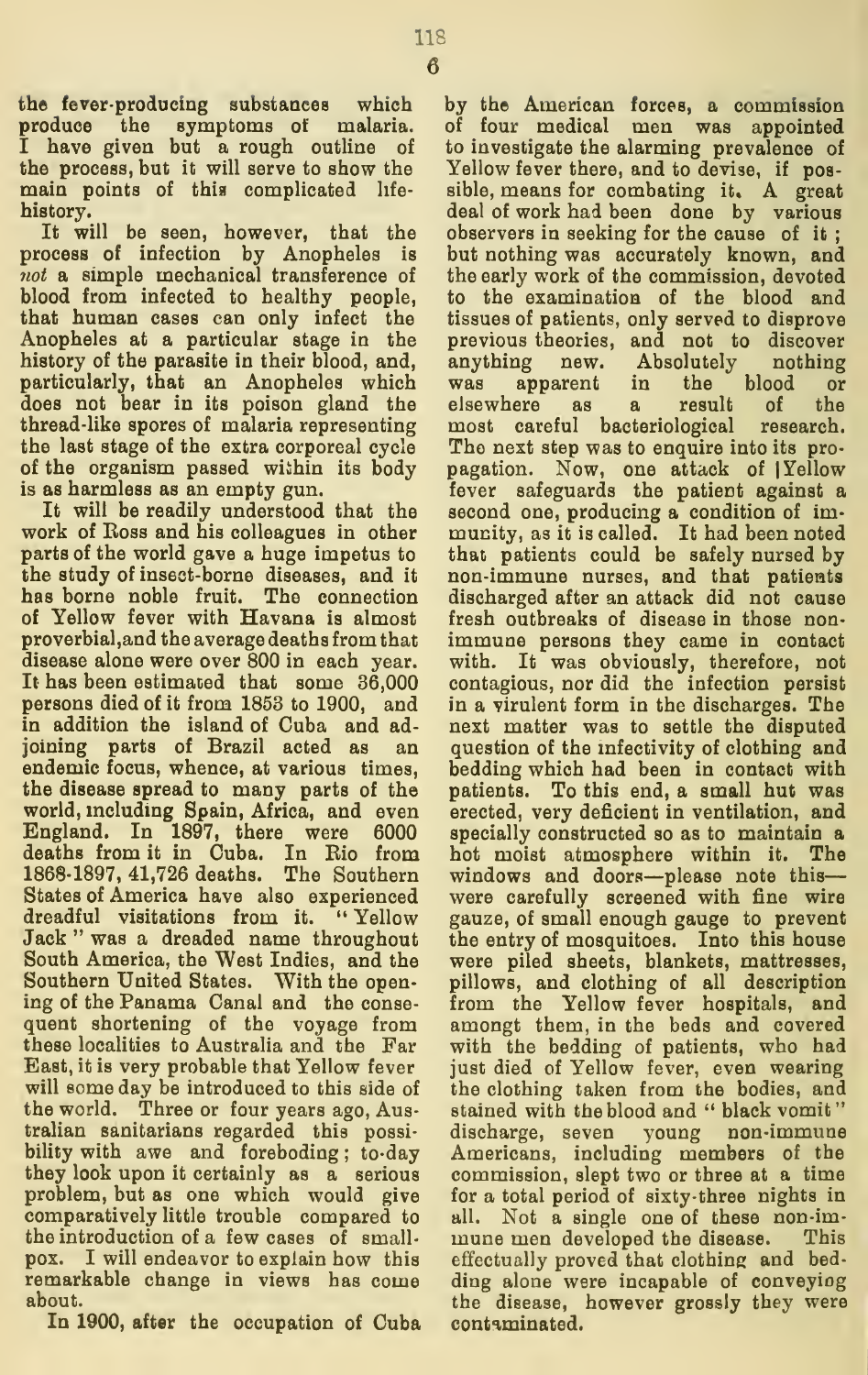main points of this complicated life-

history. It will be seen, however, that the process of infection by Anopheles is not a simple mechanical transference of blood from infected to healthy people, that human cases can only infect the Anopheles at a particular stage in the history of the parasite in their blood, and, particularly, that an Anopheles which does not bear in its poison gland the thread-like spores of malaria representing the last stage of the extra corporeal cycle of the organism passed wiihin its body is as harmless as an empty gun.

It will be readily understood that the work of Ross and his colleagues in other parts of the world gave a huge impetus to the study of insect-borne diseases, and it has borne noble fruit. The connection of Yellow fever with Havana is almost proverbial, and the average deaths from that disease alone were over 800 in each year. It has been estimated that some 36,000 persons died of it from 1853 to 1900, and in addition the island of Cuba and ad joining parts of Brazil acted as an endemic focus, whence, at various times, the disease spread to many parts of the world, mcluding Spain, Africa, and even England. In 1897, there were 6000 deaths from it in Cuba. In Bio from 1868-1897, 41,726 deaths. The Southern States of America have also experienced dreadful visitations from it. " Yellow Jack " was a dreaded name throughout South America, the West Indies, and the Southern United States. With the opening of the Panama Canal and the conse quent shortening of the voyage from these localities to Australia and the Far East, itis very probable that Yellow fever will some day be introduced to this side of the world. Three or four years ago, Australian sanitarians regarded this possibility with awe and foreboding ; to-day they look upon it certainly as a serious problem, but as one which would give comparatively little trouble compared to the introduction of a few cases of small pox. <sup>I</sup> will endeavor to explain how this remarkable change in views has come about.

In 1900, after the occupation of Cuba

by the American forces, a commission of four medical men was appointed to investigate the alarming prevalence of Yellow fever there, and to devise, if possible, means for combating it. A great deal of work had been done by various observers in seeking for the cause of it ; but nothing was accurately known, and the early work of the commission, devoted to the examination of the blood and tissues of patients, only served to disprove previous theories, and not to discover anything new. Absolutely nothing<br>was apparent in the blood or was apparent in the blood or elsewhere as a result of the most careful bacteriological research. The next step was to enquire into its propagation. Now, one attack of <sup>|</sup> Yellow fever safeguards the patient against a second one, producing a condition of im munity, as it is called. It had been noted that patients could be safely nursed by non-immune nurses, and that patieats discharged after an attack did not cause fresh outbreaks of disease in those non immune persons they came in contact with. It was obviously, therefore, not contagious, nor did the infection persist in a virulent form in the discharges. The next matter was to settle the disputed question of the mfectivity of clothing and bedding which had been in contact with patients. To this end, a small hut was erected, very deficient in ventilation, and specially constructed so as to maintain a hot moist atmosphere within it. The windows and doors—please note this were carefully screened with fine wire gauze, of small enough gauge to prevent the entry of mosquitoes. Into this house were piled sheets, blankets, mattresses, pillows, and clothing of all description from the Yellow fever hospitals, and amongt them, in the beds and covered with the bedding of patients, who had just died of Yellow fever, even wearing the clothing taken from the bodies, and stained with the blood and " black vomit" discharge, seven young non-immune Americans, including members of the commission, slept two or three at a time for a total period of sixty-three nights in all. Not a single one of these non-im mune men developed the disease. This effectually proved that clothing and bed ding alone were incapable of conveying the disease, however grossly they were contaminated.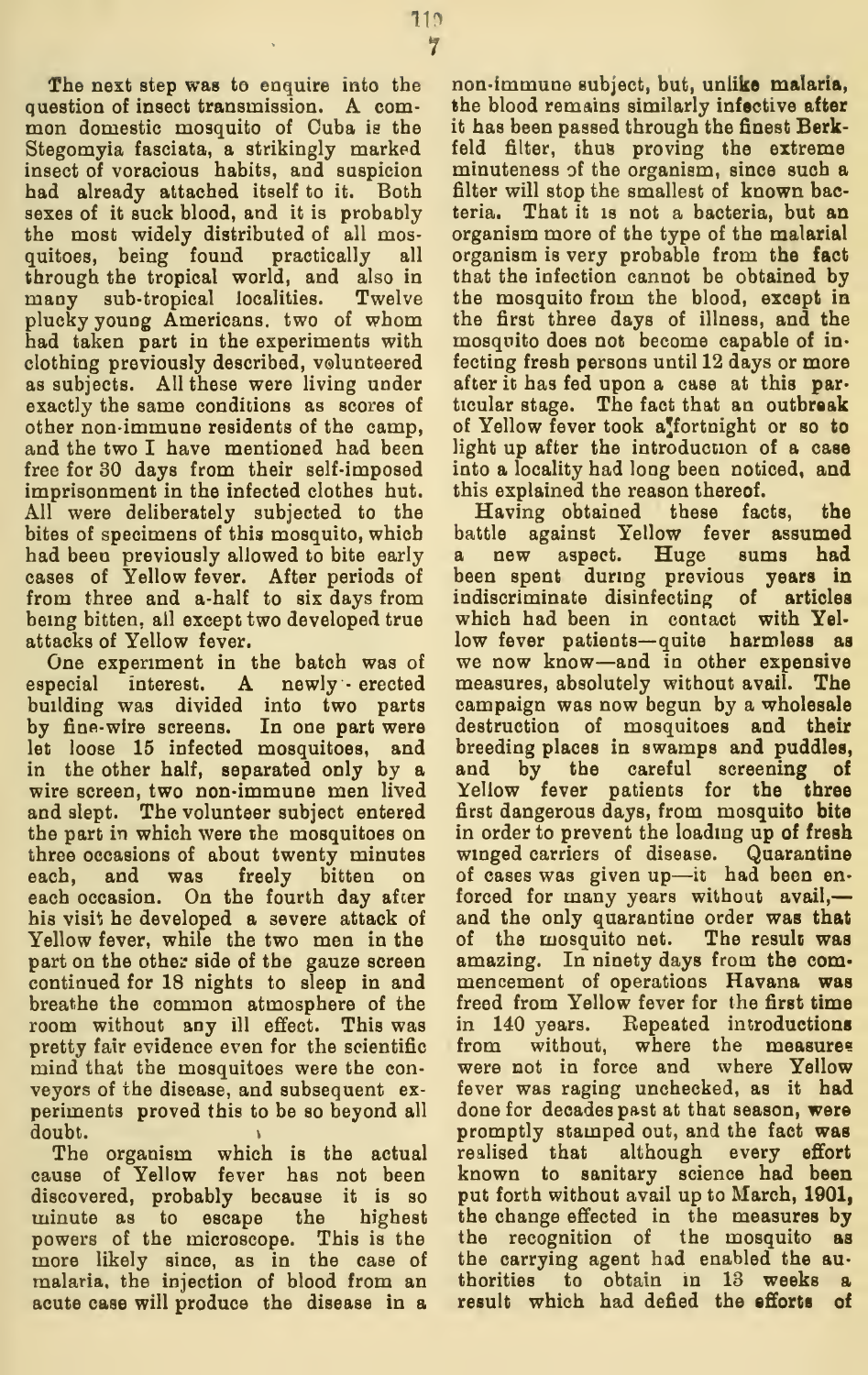The next step was to enquire into the question of insect transmission. <sup>A</sup> com- mon domestic mosquito of Cuba is the Stegomyia fasciata, a strikingly marked insect of voracious habits, and suspicion had already attached itself to it. Both sexes of it suck blood, and it is probably the most widely distributed of all mosquitoes, being found practically all through the tropical world, and also in many sub-tropical localities. Twelve plucky young Americans, two of whom had taken part in the experiments with clothing previously described, volunteered as subjects. All these were living under exactly the same conditions as scores of other non-immune residents of the camp, and the two I have mentioned had been free for 30 days from their self-imposed imprisonment in the infected clothes hut. All were deliberately subjected to the bites of specimens of this mosquito, which had been previously allowed to bite early cases of Yellow fever. After periods of from three and a-half to six days from bemg bitten, ail except two developed true attacks of Yellow fever.

One experiment in the batch was of especial interest. A newly - erected building was divided into two parts by fine-wire screens. In one part were let loose 15 infected mosquitoes, and in the other half, separated only by a wire screen, two non-immune men lived and slept. The volunteer subject entered the part in which were the mosquitoes on three occasions of about twenty minutes each, and was freely bitten on each occasion. On the fourth day after his visit he developed a severe attack of Yellow fever, while the two men in the part on the other side of the gauze screen continued for 18 nights to sleep in and breathe the common atmosphere of the room without any ill effect. This was pretty fair evidence even for the scientific mind that the mosquitoes were the con veyors of the disease, and subsequent ex periments proved this to be so beyond all doubt.

The organism which is the actual cause of Yellow fever has not been discovered, probably because it is so minute as to escape the highest powers of the microscope. This is the more likely since, as in the case of malaria, the injection of blood from an acute case will produce the disease in a

non-immune subject, but, unlike malaria, the blood remains similarly infective after it has been passed through the finest Berkfeld filter, thus proving the extreme minuteness of the organism, since such a filter will stop the smallest of known bacteria. That it IS not a bacteria, but an organism more of the type of the malarial organism isvery probable from the fact that the infection cannot be obtained by the mosquito from the blood, except in the first three days of illness, and the mosquito does not become capable of in fecting fresh persons until 12 days or more after it has fed upon a case at this particular stage. The fact that an outbreak of Yellow fever took a fortnight or so to light up after the introduction of a case into a locality had long been noticed, and this explained the reason thereof.

Having obtained these facts, the battle against Yellow fever assumed new aspect. Huge sums had<br>1 spent during previous years in been spent during previous indiscriminate disinfecting of articles which had been in contact with Yel low fever patients— quite harmless as we now know—and in other expensive measures, absolutely without avail. The campaign was now begun by a wholesale destruction of mosquitoes and their breeding places in swamps and puddles, and by the careful screening of Yellow fever patients for the three first dangerous days, from mosquito bite in order to prevent the loading up of fresh winged carriers of disease. Quarantine of cases was given up—it had been en forced for many years without avail, and the only quarantine order was that of the mosquito net. The result was amazing. In ninety days from the com mencement of operations Havana was freed from Yellow fever for the first time in 140 years. Repeated introductions from without, where the measures were not in force and where Yellow fever was raging unchecked, as it had done for decades past at that season, were promptly stamped out, and the fact was realised that although every effort known to sanitary science had been put forth without avail up to March, 1901, the change effected in the measures by the recognition of the mosquito as the carrying agent had enabled the authorities to obtain in 13 weeks a result which had defied the efforts of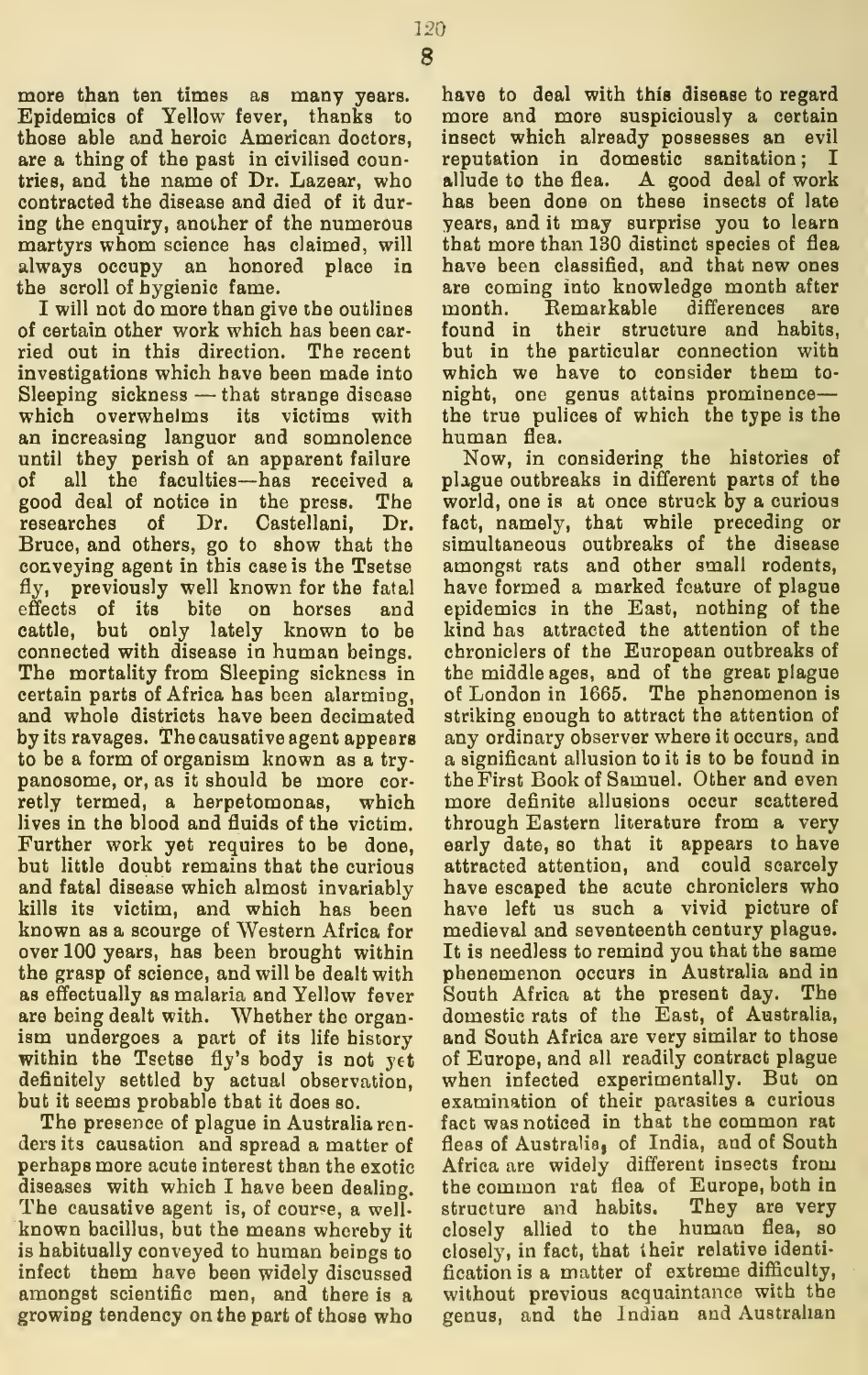more than ten times as many years. Epidemics of Yellow fever, thanks to those able and heroic American doctors, are a thing of the past in civilised countries, and the name of Dr. Lazear, who allude to the flea. contracted the disease and died of it dur ing the enquiry, another of the numerous martyrs whom science has claimed, will always occupy an honored place in the scroll of hygienic fame.

I will not do more than give the outlines month. of certain other work which has been car ried out in this direction. The recent investigations which have been made into Sleeping sickness — that strange disease which overwhelms its victims with an increasing languor and somnolence until they perish of an apparent failure of all the faculties—has received a good deal of notice in the press. The researches of Dr. Castellani, Dr. Bruce, and others, go to show that the conveying agent in this case is the Tsetse fly, previously well known for the fatal effects of its bite on horses and cattle, but only lately known to be connected with disease in human beings. The mortality from Sleeping sickness in certain parts of Africa has been alarming, and whole districts have been decimated by its ravages. The causative agent appears to be a form of organism known as a try panosome, or, as it should be more cor retly termed, a herpetomonas, which lives in the blood and fluids of the victim. Further work yet requires to be done, but little doubt remains that the curious and fatal disease which almost invariably kills its victim, and which has been known as a scourge of Western Africa for over 100 years, has been brought within the grasp of science, and will be dealt with as effectually as malaria and Yellow fever are being dealt with. Whether the organ ism undergoes a part of its life history within the Tsetse fly's body is not yet definitely settled by actual observation, but it seems probable that it does so.

The presence of plague in Australia ren ders its causation and spread a matter of perhaps more acute interest than the exotic diseases with which I have been dealing. The causative agent is, of course, a wellknown bacillus, but the means whereby it is habitually conveyed to human beings to infect them have been widely discussed amongst scientific men, and there is a growing tendency on the part of those who

have to deal with this disease to regard more and more suspiciously a certain insect which already possesses an evil reputation in domestic sanitation; I A good deal of work has been done on these insects of late years, and it may surprise you to learn that more than 130 distinct species of flea have been classified, and that new ones are coming into knowledge month after Remarkable differences are found in their structure and habits, but in the particular connection with which we have to consider them to night, one genus attains prominence the true pulices of which the type is the human flea.

Now, in considering the histories of plague outbreaks in different parts of the world, one is at once struck by a curious fact, namely, that while preceding or simultaneous outbreaks of the disease amongst rats and other small rodents, have formed a marked feature of plague epidemics in the East, nothing of the kind has attracted the attention of the chroniclers of the European outbreaks of the middle ages, and of the great plague of London in 1665. The phenomenon is striking enough to attract the attention of any ordinary observer where it occurs, and a significant allusion to it is to be found in the First Book of Samuel. Other and even more definite allusions occur scattered through Eastern literature from a very early date, so that it appears to have attracted attention, and could scarcely have escaped the acute chroniclers who have left us such a vivid picture of medieval and seventeenth century plague. It is needless to remind you that the same phenemenon occurs in Australia and in South Africa at the present day. The domestic rats of the East, of Australia, and South Africa are very similar to those of Europe, and all readily contract plague when infected experimentally. But on examination of their parasites a curious fact was noticed in that the common rat fleas of Australia, of India, and of South Africa are widely different insects from the common rat flea of Europe, both in<br>structure and habits. They are very structure and habits. closely allied to the human flea, so closely, in fact, that iheir relative identi fication is a matter of extreme difficulty, without previous acquaintance with the genus, and the Indian and Australian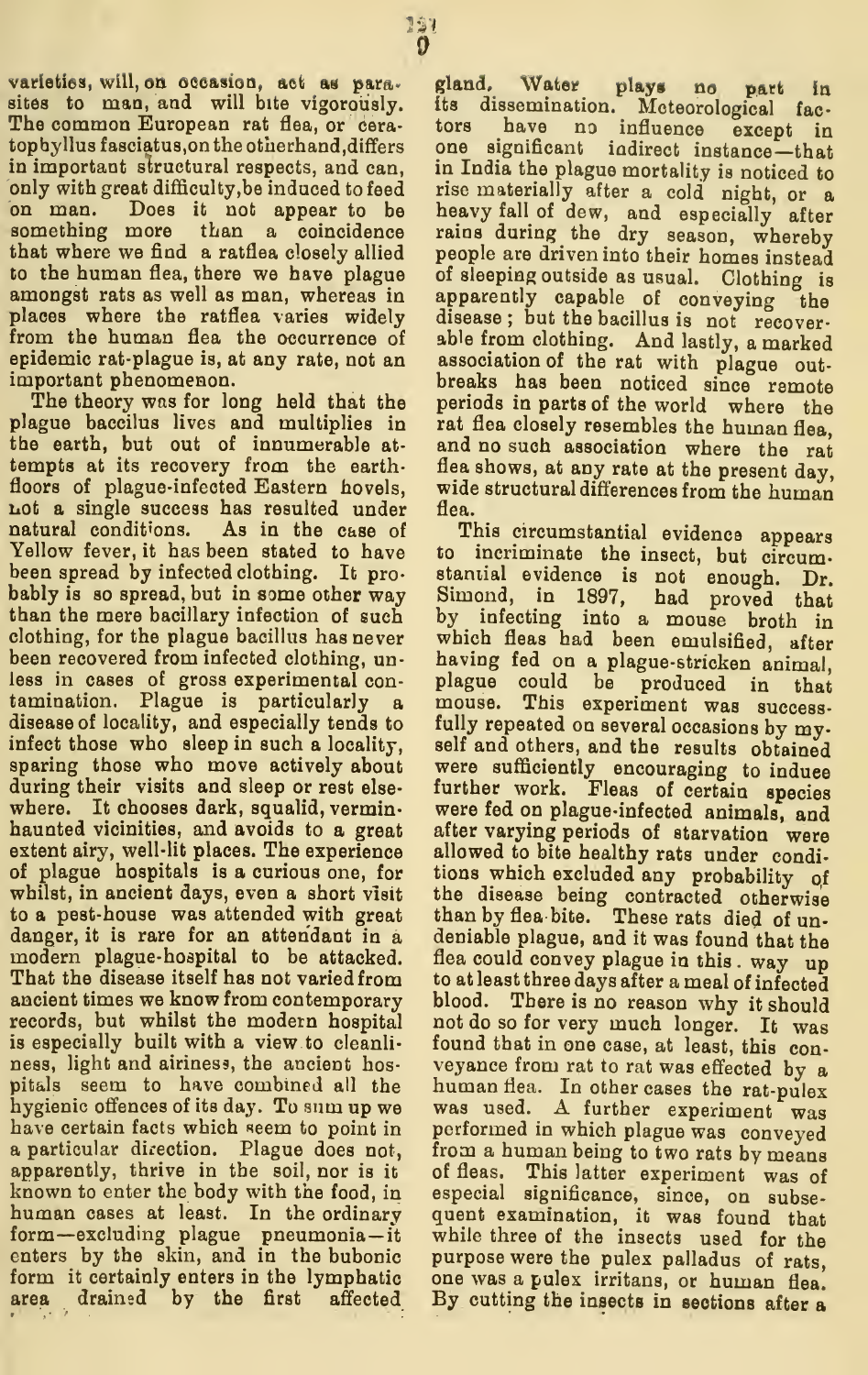varieties, will, on occasion, act as para. gland. Water sites to man, and will bite vigorously. its The common European rat flea, or cera- tors tophyllus fasciatus, on the otherhand, differs in important structural respects, and can, in India the plague mortality is noticed to only with great difficulty, be induced to feed rise materially after a cold night, or a only with great difficulty, be induced to feed on man. Does it not appear to be something more than a coincidence that where we find a ratflea closely allied to the human flea, there we have plague amongst rats as well as man, whereas in places where the ratflea varies widely from the human flea the occurrence of epidemic rat-plague is, at any rate, not an association of the rat with plague outimportant phenomenon.

The theory was for long held that the plague baccilus lives and multiplies in rat flea closely resembles the human flea. the earth, but out of innumerable at tempts at its recovery from the earthfloors of plague-infected Eastern hovels, Lot a single success has resulted under natural conditions. As in the case of Yellow fever, it has been stated to have to incriminate the insect, but circum-<br>been spread by infected clothing. It pro-stantial evidence is not enough. Dr. been spread by infected clothing. It pro bably is so spread, but in some other way Simond, in 1897, had proved that then the mere bacillary infection of such by infecting into a mouse broth in than the mere bacillary infection of such clothing, for the plague bacillus has never which fleas had been emulsified, after been recovered from infected clothing, unless in cases of gross experimental con- plague could be produced in tamination. Plague is particularly a disease of locality, and especially tends to fully repeated on several occasions by my-<br>infect those who sleep in such a locality, self and others, and the results obtained infect those who sleep in such a locality, sparing those who move actively about were sufficiently encouraging to induce during their visits and sleep or rest else. further work. Fleas of certain species during their visits and sleep or rest else where. It chooses dark, squalid, vermin haunted vicinities, and avoids to a great extent airy, well-lit places. The experience of plague hospitals is a curious one, for whilst, in ancient days, even a short visit to a pest-house was attended with great danger, it is rare for an attendant in a modern plague-hospital to be attacked. That the disease itself has not varied from ancient times we know from contemporary blood. records, but whilst the modern hospital is especially built with a view to cleanli- found that in one case, at least, this conness, light and airiness, the ancient hosness, light and airiness, the ancient hos-<br>pitals seem to have combined all the human flea. In other cases the rat-pulex hygienic offences of its day. To sum up we have certain facts which seem to point in a particular direction. Plague does not, apparently, thrive in the soil, nor is it of fleas. This latter experiment was of known to enter the body with the food, in especial significance, since, on subseknown to enter the body with the food, in human cases at least. In the ordinary quent examination, it was found that form—excluding plague pneumonia— it enters by the skin, and in the bubonic enters by the skin, and in the bubonic purpose were the pulex palladus of rats, form it certainly enters in the lymphatic one was a pulex irritans, or human flea. area drained by the first affected By cutting the insects in sections after a

plays no part in dissemination. Meteorological fac-<br>have no influence except in tors have no influence except in one significant indirect instance—that in India the plague mortality is noticed to heavy fall of dew, and especially after rains during the dry season, whereby people are driven into their homes instead of sleeping outside as usual. Clothing is apparently capable of conveying the disease ; but the bacillus is not recoverable from clothing. And lastly, <sup>a</sup> marked breaks has been noticed since remote periods in parts of the world where the and no such association where the rat flea shows, at any rate at the present day, wide structural differences from the human flea.

This circumstantial evidence appears to incriminate the insect, but circumhaving fed on a plague-stricken animal, plague could be produced in that mouse. This experiment was successfully repeated on several occasions by mywere sufficiently encouraging to induce were fed on plague-infected animals, and after varying periods of starvation were allowed to bite healthy rats under conditions which excluded any probability qf the disease being contracted otherwise than by flea bite. These rats died of undeniable plague, and it was found that the flea could convey plague in this . way up to at least three days after a meal of infected There is no reason why it should not do so for very much longer. It was was used. A further experiment was performed in which plague was conveyed from <sup>a</sup> human being to two rats by means of fleas. This latter experiment was of while three of the insects used for the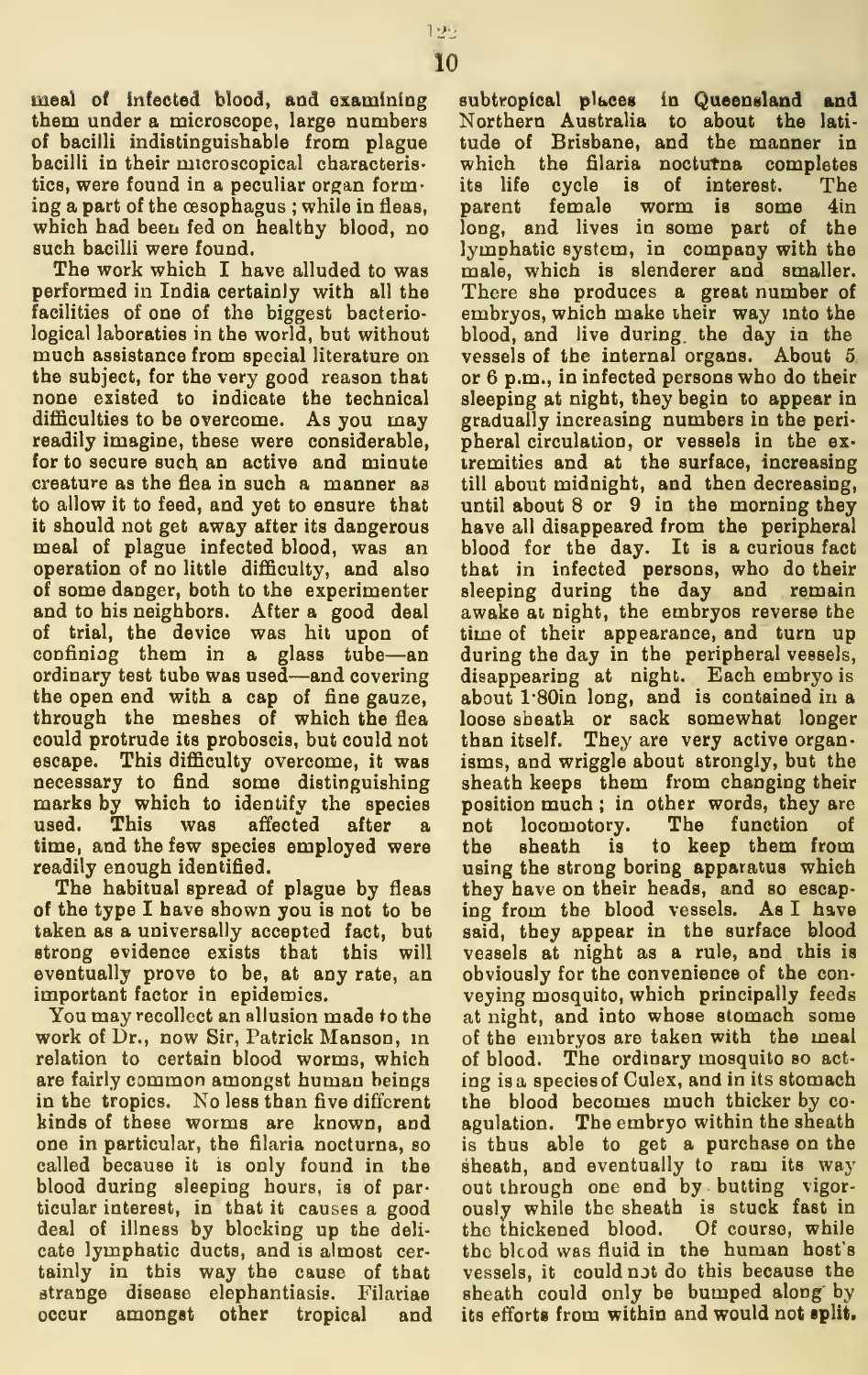meal of infected blood, and examining them under a microscope, large numbers of bacilli indistinguishable from plague bacilli in their microscopical characteristics, were found in a peculiar organ forming a part of the oesophagus ; while in fleas, which had been fed on healthy blood, no such bacilli were found.

The work which I have alluded to was performed in India certainly with all the facilities of one of the biggest bacteriological laboraties in the world, but without much assistance from special literature on the subject, for the very good reason that none existed to indicate the technical difficulties to be overcome. As you may readily imagine, these were considerable, for to secure such an active and minute creature as the flea in such a manner as to allow it to feed, and yet to ensure that it should not get away after its dangerous meal of plague infected blood, was an operation of no little difficulty, and also of some danger, both to the experimenter and to his neighbors. After a good deal of trial, the device was hit upon of confining them in a glass tube-an ordinary test tube was used—and covering the open end with a cap of fine gauze, through the meshes of which the flea could protrude its proboscis, but could not escape. This difficulty overcome, it was necessary to find some distinguishing marks by which to identify the species used. This was affected after a not time, and the few species employed were readily enough identified.

The habitual spread of plague by fleas of the type I have shown you is not to be taken as a universally accepted fact, but strong evidence exists that this will eventually prove to be, at any rate, an important factor in epidemics.

You may recollect an allusion made to the work of Dr., now Sir, Patrick Manson, m relation to certain blood worms, which are fairly common amongst human beings in the tropics. No less than five different kinds of these worms are known, and one in particular, the filaria nocturna, so called because it is only found in the blood during sleeping hours, is of particular interest, in that it causes a good deal of illness by blocking up the deli cate lymphatic ducts, and is almost certainly in this way the cause of that strange disease elephantiasis. Filariae occur amongst other tropical and

subtropical places in Queensland and Northern Australia to about the lati tude of Brisbane, and the manner in which the filaria noctutna completes its life cycle is of interest. The female worm is some 4in long, and lives in some part of the lymphatic system, in company with the male, which is slenderer and smaller. There she produces a great number of embryos, which make iheir way into the blood, and live during, the day in the vessels of the internal organs. About 5.or 6 p.m., in infected persons who do their sleeping at night, they begin to appear in gradually increasing numbers in the peri pheral circulation, or vessels in the ex tremities and at the surface, increasing till about midnight, and then decreasing, until about 8 or 9 in the morning they have all disappeared from the peripheral blood for the day. It is a curious fact that in infected persons, who do their sleeping during the day and remain awake at night, the embryos reverse the time of their appearance, and turn up during the day in the peripheral vessels, disappearing at night. Each embryo is about l\*80in long, and is contained in a loose sheath or sack somewhat longer than itself. They are very active organisms, and wriggle about strongly, but the sheath keeps them from changing their position much ; in other words, they are locomotory. The function of sheath is to keep them from using the strong boring apparatus which they have on their heads, and so escap ing from the blood vessels. As I have said, they appear in the surface blood vessels at night as a rule, and this is obviously for the convenience of the con veying mosquito, which principally feeds at night, and into whose stomach some of the embryos are taken with the meal of blood. The ordinary mosquito so act ing is a species of Culex, and in its stomach the blood becomes much thicker by co agulation. The embryo within the sheath is thus able to get a purchase on the sheath, and eventually to ram its way out through one end by butting vigorously while the sheath is stuck fast in the thickened blood. Of course, while the blcod was fluid in the human host's vessels, it could not do this because the sheath could only be bumped along by its efforts from within and would not split.